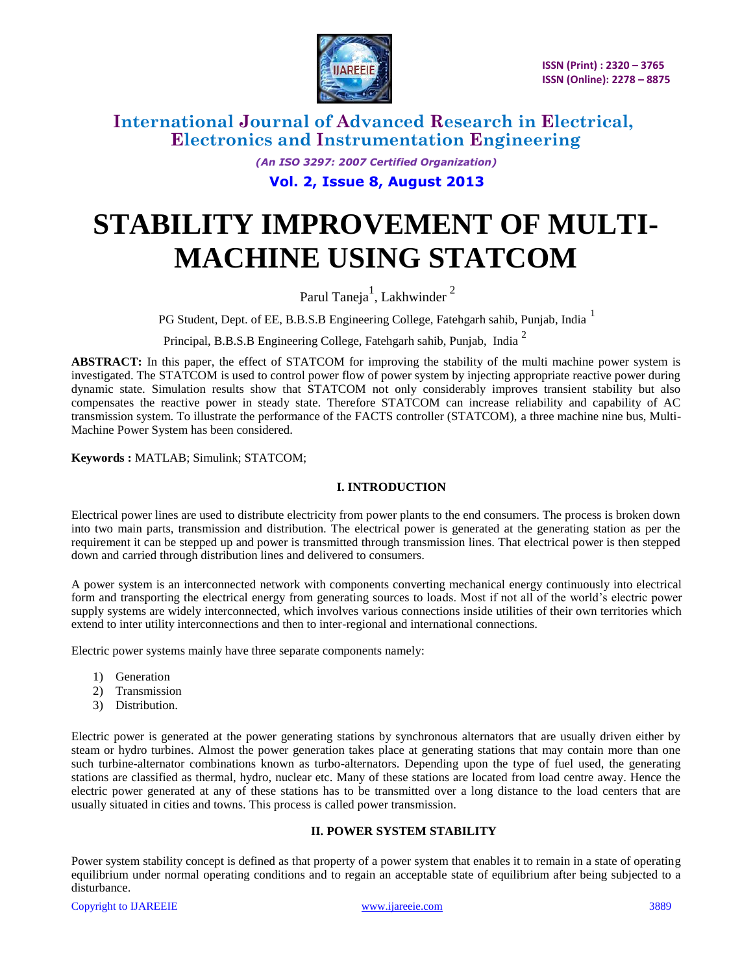

> *(An ISO 3297: 2007 Certified Organization)* **Vol. 2, Issue 8, August 2013**

# **STABILITY IMPROVEMENT OF MULTI-MACHINE USING STATCOM**

Parul Taneja<sup>1</sup>, Lakhwinder<sup>2</sup>

PG Student, Dept. of EE, B.B.S.B Engineering College, Fatehgarh sahib, Punjab, India<sup>1</sup>

Principal, B.B.S.B Engineering College, Fatehgarh sahib, Punjab, India <sup>2</sup>

**ABSTRACT:** In this paper, the effect of STATCOM for improving the stability of the multi machine power system is investigated. The STATCOM is used to control power flow of power system by injecting appropriate reactive power during dynamic state. Simulation results show that STATCOM not only considerably improves transient stability but also compensates the reactive power in steady state. Therefore STATCOM can increase reliability and capability of AC transmission system. To illustrate the performance of the FACTS controller (STATCOM), a three machine nine bus, Multi-Machine Power System has been considered.

**Keywords :** MATLAB; Simulink; STATCOM;

#### **I. INTRODUCTION**

Electrical power lines are used to distribute electricity from power plants to the end consumers. The process is broken down into two main parts, transmission and distribution. The electrical power is generated at the generating station as per the requirement it can be stepped up and power is transmitted through transmission lines. That electrical power is then stepped down and carried through distribution lines and delivered to consumers.

A power system is an interconnected network with components converting mechanical energy continuously into electrical form and transporting the electrical energy from generating sources to loads. Most if not all of the world's electric power supply systems are widely interconnected, which involves various connections inside utilities of their own territories which extend to inter utility interconnections and then to inter-regional and international connections.

Electric power systems mainly have three separate components namely:

- 1) Generation
- 2) Transmission
- 3) Distribution.

Electric power is generated at the power generating stations by synchronous alternators that are usually driven either by steam or hydro turbines. Almost the power generation takes place at generating stations that may contain more than one such turbine-alternator combinations known as turbo-alternators. Depending upon the type of fuel used, the generating stations are classified as thermal, hydro, nuclear etc. Many of these stations are located from load centre away. Hence the electric power generated at any of these stations has to be transmitted over a long distance to the load centers that are usually situated in cities and towns. This process is called power transmission.

#### **II. POWER SYSTEM STABILITY**

Power system stability concept is defined as that property of a power system that enables it to remain in a state of operating equilibrium under normal operating conditions and to regain an acceptable state of equilibrium after being subjected to a disturbance.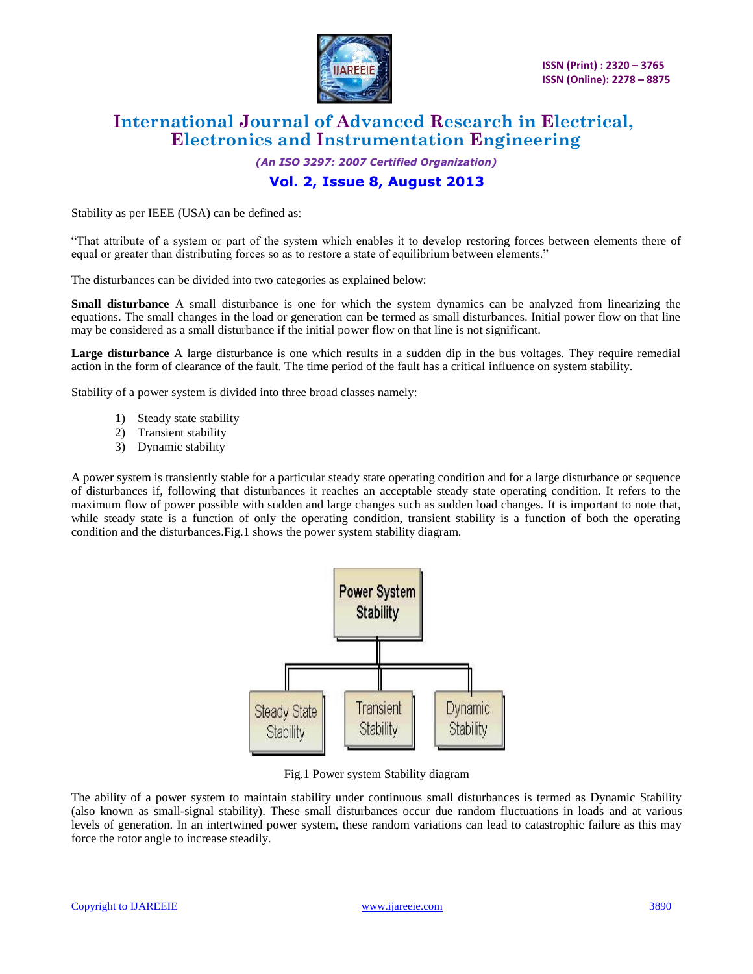

*(An ISO 3297: 2007 Certified Organization)*

### **Vol. 2, Issue 8, August 2013**

Stability as per IEEE (USA) can be defined as:

"That attribute of a system or part of the system which enables it to develop restoring forces between elements there of equal or greater than distributing forces so as to restore a state of equilibrium between elements."

The disturbances can be divided into two categories as explained below:

**Small disturbance** A small disturbance is one for which the system dynamics can be analyzed from linearizing the equations. The small changes in the load or generation can be termed as small disturbances. Initial power flow on that line may be considered as a small disturbance if the initial power flow on that line is not significant.

**Large disturbance** A large disturbance is one which results in a sudden dip in the bus voltages. They require remedial action in the form of clearance of the fault. The time period of the fault has a critical influence on system stability.

Stability of a power system is divided into three broad classes namely:

- 1) Steady state stability
- 2) Transient stability
- 3) Dynamic stability

A power system is transiently stable for a particular steady state operating condition and for a large disturbance or sequence of disturbances if, following that disturbances it reaches an acceptable steady state operating condition. It refers to the maximum flow of power possible with sudden and large changes such as sudden load changes. It is important to note that, while steady state is a function of only the operating condition, transient stability is a function of both the operating condition and the disturbances.Fig.1 shows the power system stability diagram.



Fig.1 Power system Stability diagram

The ability of a power system to maintain stability under continuous small disturbances is termed as Dynamic Stability (also known as small-signal stability). These small disturbances occur due random fluctuations in loads and at various levels of generation. In an intertwined power system, these random variations can lead to catastrophic failure as this may force the rotor angle to increase steadily.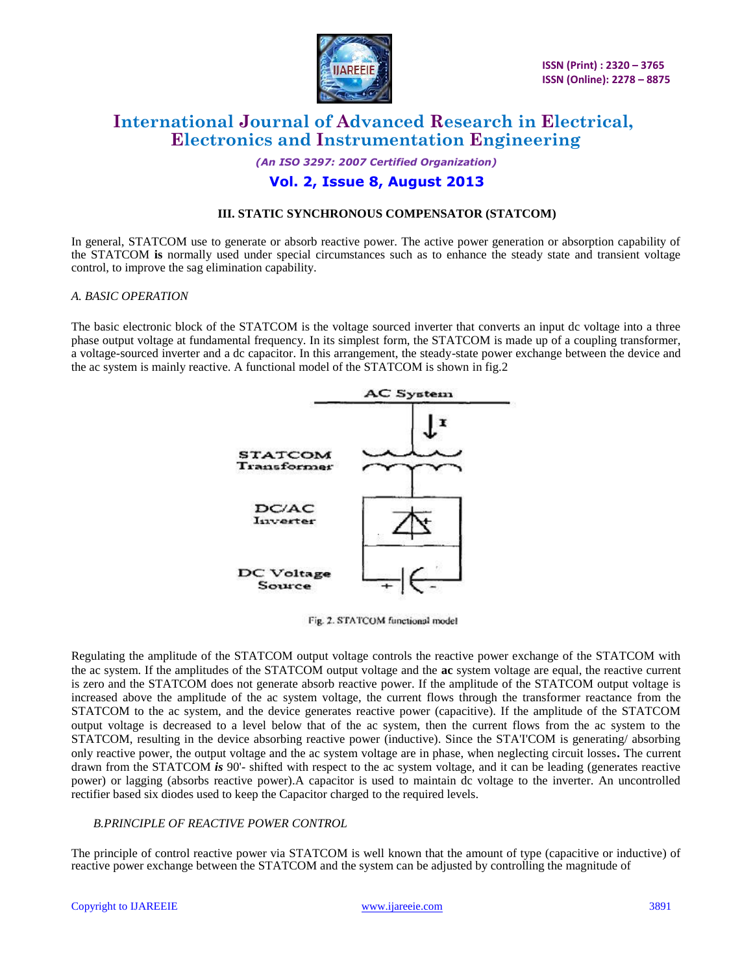

*(An ISO 3297: 2007 Certified Organization)*

### **Vol. 2, Issue 8, August 2013**

#### **III. STATIC SYNCHRONOUS COMPENSATOR (STATCOM)**

In general, STATCOM use to generate or absorb reactive power. The active power generation or absorption capability of the STATCOM **is** normally used under special circumstances such as to enhance the steady state and transient voltage control, to improve the sag elimination capability.

#### *A. BASIC OPERATION*

The basic electronic block of the STATCOM is the voltage sourced inverter that converts an input dc voltage into a three phase output voltage at fundamental frequency. In its simplest form, the STATCOM is made up of a coupling transformer, a voltage-sourced inverter and a dc capacitor. In this arrangement, the steady-state power exchange between the device and the ac system is mainly reactive. A functional model of the STATCOM is shown in fig.2



Fig. 2. STATCOM functional model

Regulating the amplitude of the STATCOM output voltage controls the reactive power exchange of the STATCOM with the ac system. If the amplitudes of the STATCOM output voltage and the **ac** system voltage are equal, the reactive current is zero and the STATCOM does not generate absorb reactive power. If the amplitude of the STATCOM output voltage is increased above the amplitude of the ac system voltage, the current flows through the transformer reactance from the STATCOM to the ac system, and the device generates reactive power (capacitive). If the amplitude of the STATCOM output voltage is decreased to a level below that of the ac system, then the current flows from the ac system to the STATCOM, resulting in the device absorbing reactive power (inductive). Since the STA'I'COM is generating/ absorbing only reactive power, the output voltage and the ac system voltage are in phase, when neglecting circuit losses**.** The current drawn from the STATCOM *is* 90'- shifted with respect to the ac system voltage, and it can be leading (generates reactive power) or lagging (absorbs reactive power).A capacitor is used to maintain dc voltage to the inverter. An uncontrolled rectifier based six diodes used to keep the Capacitor charged to the required levels.

#### *B.PRINCIPLE OF REACTIVE POWER CONTROL*

The principle of control reactive power via STATCOM is well known that the amount of type (capacitive or inductive) of reactive power exchange between the STATCOM and the system can be adjusted by controlling the magnitude of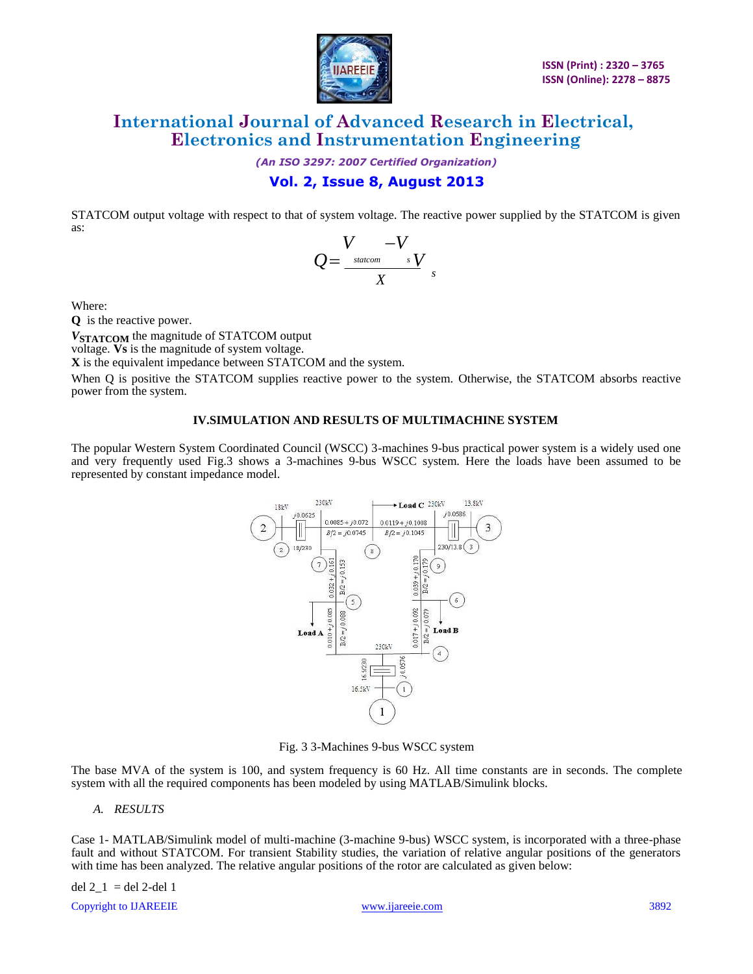

*(An ISO 3297: 2007 Certified Organization)*

### **Vol. 2, Issue 8, August 2013**

STATCOM output voltage with respect to that of system voltage. The reactive power supplied by the STATCOM is given as:

$$
Q = \frac{V}{X} - \frac{V}{X}
$$

Where:

**Q** is the reactive power.

*V***STATCOM** the magnitude of STATCOM output

voltage. **Vs** is the magnitude of system voltage.

**X** is the equivalent impedance between STATCOM and the system.

When Q is positive the STATCOM supplies reactive power to the system. Otherwise, the STATCOM absorbs reactive power from the system.

#### **IV.SIMULATION AND RESULTS OF MULTIMACHINE SYSTEM**

The popular Western System Coordinated Council (WSCC) 3-machines 9-bus practical power system is a widely used one and very frequently used Fig.3 shows a 3-machines 9-bus WSCC system. Here the loads have been assumed to be represented by constant impedance model.



Fig. 3 3-Machines 9-bus WSCC system

The base MVA of the system is 100, and system frequency is 60 Hz. All time constants are in seconds. The complete system with all the required components has been modeled by using MATLAB/Simulink blocks.

*A. RESULTS*

Case 1- MATLAB/Simulink model of multi-machine (3-machine 9-bus) WSCC system, is incorporated with a three-phase fault and without STATCOM. For transient Stability studies, the variation of relative angular positions of the generators with time has been analyzed. The relative angular positions of the rotor are calculated as given below:

del  $2_{1}$  = del 2-del 1

Copyright to IJAREEIE www.ijareeie.com 3892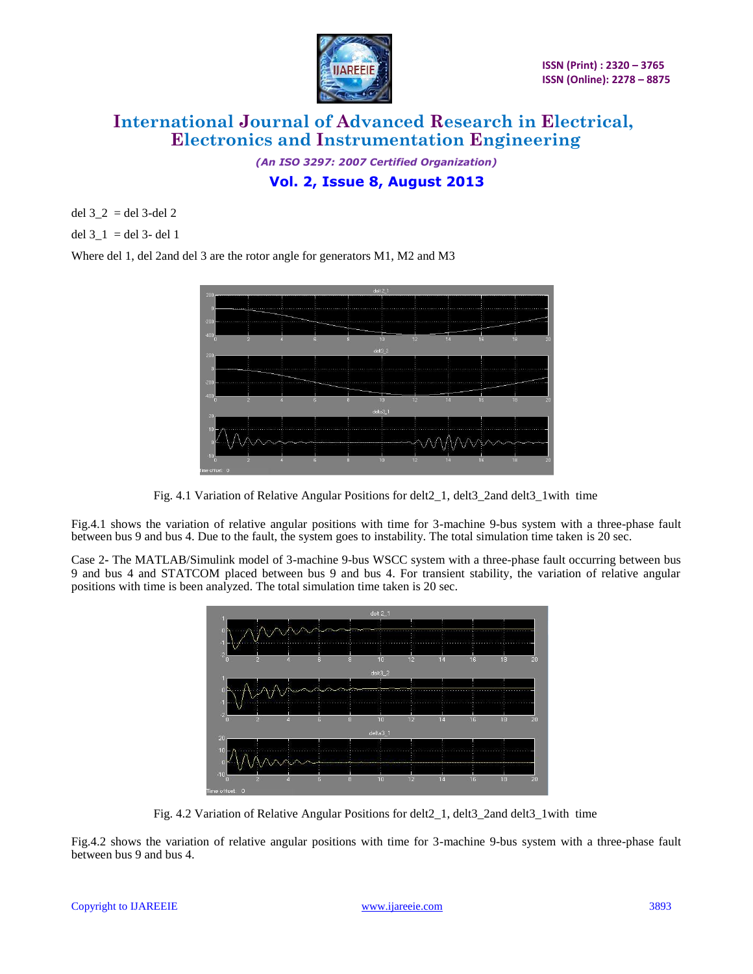

*(An ISO 3297: 2007 Certified Organization)* **Vol. 2, Issue 8, August 2013**

del  $3_2 =$  del 3-del 2

del  $3_1 =$ del 3- del 1

Where del 1, del 2and del 3 are the rotor angle for generators M1, M2 and M3



Fig. 4.1 Variation of Relative Angular Positions for delt2\_1, delt3\_2and delt3\_1with time

Fig.4.1 shows the variation of relative angular positions with time for 3-machine 9-bus system with a three-phase fault between bus 9 and bus 4. Due to the fault, the system goes to instability. The total simulation time taken is 20 sec.

Case 2**-** The MATLAB/Simulink model of 3-machine 9-bus WSCC system with a three-phase fault occurring between bus 9 and bus 4 and STATCOM placed between bus 9 and bus 4. For transient stability, the variation of relative angular positions with time is been analyzed. The total simulation time taken is 20 sec.



Fig. 4.2 Variation of Relative Angular Positions for delt2\_1, delt3\_2and delt3\_1with time

Fig.4.2 shows the variation of relative angular positions with time for 3-machine 9-bus system with a three-phase fault between bus 9 and bus 4.